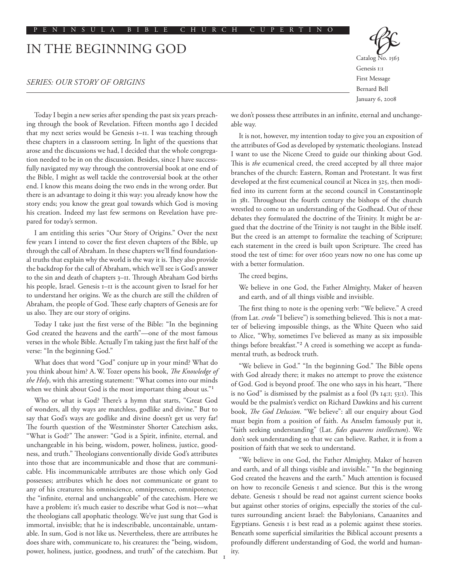## PENINSULA BIBLE CHURCH CUPERTINO

## In the Beginning God

## *SERIES: Our Story of Origins*

Catalog No. 1563 Genesis 1:1 First Message Bernard Bell January 6, 2008

Today I begin a new series after spending the past six years preaching through the book of Revelation. Fifteen months ago I decided that my next series would be Genesis 1–11. I was teaching through these chapters in a classroom setting. In light of the questions that arose and the discussions we had, I decided that the whole congregation needed to be in on the discussion. Besides, since I have successfully navigated my way through the controversial book at one end of the Bible, I might as well tackle the controversial book at the other end. I know this means doing the two ends in the wrong order. But there is an advantage to doing it this way: you already know how the story ends; you know the great goal towards which God is moving his creation. Indeed my last few sermons on Revelation have prepared for today's sermon.

I am entitling this series "Our Story of Origins." Over the next few years I intend to cover the first eleven chapters of the Bible, up through the call of Abraham. In these chapters we'll find foundational truths that explain why the world is the way it is. They also provide the backdrop for the call of Abraham, which we'll see is God's answer to the sin and death of chapters 3-11. Through Abraham God births his people, Israel. Genesis 1–11 is the account given to Israel for her to understand her origins. We as the church are still the children of Abraham, the people of God. These early chapters of Genesis are for us also. They are our story of origins.

Today I take just the first verse of the Bible: "In the beginning God created the heavens and the earth"—one of the most famous verses in the whole Bible. Actually I'm taking just the first half of the verse: "In the beginning God."

What does that word "God" conjure up in your mind? What do you think about him? A.W. Tozer opens his book, *The Knowledge of the Holy*, with this arresting statement: "What comes into our minds when we think about God is the most important thing about us."<sup>1</sup>

Who or what is God? There's a hymn that starts, "Great God of wonders, all thy ways are matchless, godlike and divine." But to say that God's ways are godlike and divine doesn't get us very far! The fourth question of the Westminster Shorter Catechism asks, "What is God?" The answer: "God is a Spirit, infinite, eternal, and unchangeable in his being, wisdom, power, holiness, justice, goodness, and truth." Theologians conventionally divide God's attributes into those that are incommunicable and those that are communicable. His incommunicable attributes are those which only God possesses; attributes which he does not communicate or grant to any of his creatures: his omniscience, omnipresence, omnipotence; the "infinite, eternal and unchangeable" of the catechism. Here we have a problem: it's much easier to describe what God is not—what the theologians call apophatic theology. We've just sung that God is immortal, invisible; that he is indescribable, uncontainable, untamable. In sum, God is not like us. Nevertheless, there are attributes he does share with, communicate to, his creatures: the "being, wisdom, power, holiness, justice, goodness, and truth" of the catechism. But we don't possess these attributes in an infinite, eternal and unchangeable way.

It is not, however, my intention today to give you an exposition of the attributes of God as developed by systematic theologians. Instead I want to use the Nicene Creed to guide our thinking about God. This is *the* ecumenical creed, the creed accepted by all three major branches of the church: Eastern, Roman and Protestant. It was first developed at the first ecumenical council at Nicea in 325, then modified into its current form at the second council in Constantinople in 381. Throughout the fourth century the bishops of the church wrestled to come to an understanding of the Godhead. Out of these debates they formulated the doctrine of the Trinity. It might be argued that the doctrine of the Trinity is not taught in the Bible itself. But the creed is an attempt to formalize the teaching of Scripture; each statement in the creed is built upon Scripture. The creed has stood the test of time: for over 1600 years now no one has come up with a better formulation.

The creed begins,

We believe in one God, the Father Almighty, Maker of heaven and earth, and of all things visible and invisible.

The first thing to note is the opening verb: "We believe." A creed (from Lat. *credo* "I believe") is something believed. This is not a matter of believing impossible things, as the White Queen who said to Alice, "Why, sometimes I've believed as many as six impossible things before breakfast."2 A creed is something we accept as fundamental truth, as bedrock truth.

"We believe in God." "In the beginning God." The Bible opens with God already there; it makes no attempt to prove the existence of God. God is beyond proof. The one who says in his heart, "There is no God" is dismissed by the psalmist as a fool (Ps 14:1; 53:1). This would be the psalmist's verdict on Richard Dawkins and his current book, *The God Delusion*. "We believe": all our enquiry about God must begin from a position of faith. As Anselm famously put it, "faith seeking understanding" (Lat. *fides quaerens intellectum*). We don't seek understanding so that we can believe. Rather, it is from a position of faith that we seek to understand.

"We believe in one God, the Father Almighty, Maker of heaven and earth, and of all things visible and invisible." "In the beginning God created the heavens and the earth." Much attention is focused on how to reconcile Genesis 1 and science. But this is the wrong debate. Genesis 1 should be read not against current science books but against other stories of origins, especially the stories of the cultures surrounding ancient Israel: the Babylonians, Canaanites and Egyptians. Genesis I is best read as a polemic against these stories. Beneath some superficial similarities the Biblical account presents a profoundly different understanding of God, the world and humanity.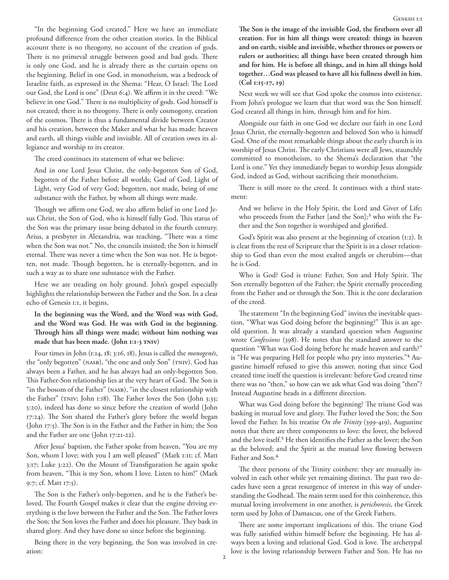"In the beginning God created." Here we have an immediate profound difference from the other creation stories. In the Biblical account there is no theogony, no account of the creation of gods. There is no primeval struggle between good and bad gods. There is only one God, and he is already there as the curtain opens on the beginning. Belief in one God, in monotheism, was a bedrock of Israelite faith, as expressed in the Shema: "Hear, O Israel: The Lord our God, the Lord is one" (Deut 6:4). We affirm it in the creed: "We believe in one God." There is no multiplicity of gods. God himself is not created; there is no theogony. There is only cosmogony, creation of the cosmos. There is thus a fundamental divide between Creator and his creation, between the Maker and what he has made: heaven and earth, all things visible and invisible. All of creation owes its allegiance and worship to its creator.

The creed continues its statement of what we believe:

And in one Lord Jesus Christ, the only-begotten Son of God, begotten of the Father before all worlds; God of God, Light of Light, very God of very God; begotten, not made, being of one substance with the Father, by whom all things were made.

Though we affirm one God, we also affirm belief in one Lord Jesus Christ, the Son of God, who is himself fully God. This status of the Son was the primary issue being debated in the fourth century. Arius, a presbyter in Alexandria, was teaching, "There was a time when the Son was not." No, the councils insisted; the Son is himself eternal. There was never a time when the Son was not. He is begotten, not made. Though begotten, he is eternally-begotten, and in such a way as to share one substance with the Father.

Here we are treading on holy ground. John's gospel especially highlights the relationship between the Father and the Son. In a clear echo of Genesis 1:1, it begins,

**In the beginning was the Word, and the Word was with God, and the Word was God. He was with God in the beginning. Through him all things were made; without him nothing was made that has been made. (John 1:1-3 TNIV)**

Four times in John (1:14, 18; 3:16, 18), Jesus is called the *monogenēs*, the "only begotten" (NASB), "the one and only Son" (TNIV). God has always been a Father, and he has always had an only-begotten Son. This Father-Son relationship lies at the very heart of God. The Son is "in the bosom of the Father" (NASB), "in the closest relationship with the Father" (TNIV; John 1:18). The Father loves the Son (John 3:35; 5:20), indeed has done so since before the creation of world (John 17:24). The Son shared the Father's glory before the world began (John 17:5). The Son is in the Father and the Father in him; the Son and the Father are one (John 17:21-22).

After Jesus' baptism, the Father spoke from heaven, "You are my Son, whom I love; with you I am well pleased" (Mark 1:11; cf. Matt 3:17; Luke 3:22). On the Mount of Transfiguration he again spoke from heaven, "This is my Son, whom I love. Listen to him!" (Mark 9:7; cf. Matt 17:5).

The Son is the Father's only-begotten, and he is the Father's beloved. The Fourth Gospel makes it clear that the engine driving everything is the love between the Father and the Son. The Father loves the Son; the Son loves the Father and does his pleasure. They bask in shared glory. And they have done so since before the beginning.

Being there in the very beginning, the Son was involved in creation:

**The Son is the image of the invisible God, the firstborn over all creation. For in him all things were created: things in heaven and on earth, visible and invisible, whether thrones or powers or rulers or authorities; all things have been created through him and for him. He is before all things, and in him all things hold together…God was pleased to have all his fullness dwell in him. (Col 1:15-17, 19)**

Next week we will see that God spoke the cosmos into existence. From John's prologue we learn that that word was the Son himself. God created all things in him, through him and for him.

Alongside our faith in one God we declare our faith in one Lord Jesus Christ, the eternally-begotten and beloved Son who is himself God. One of the most remarkable things about the early church is its worship of Jesus Christ. The early Christians were all Jews, staunchly committed to monotheism, to the Shema's declaration that "the Lord is one." Yet they immediately began to worship Jesus alongside God, indeed as God, without sacrificing their monotheism.

There is still more to the creed. It continues with a third statement:

And we believe in the Holy Spirit, the Lord and Giver of Life; who proceeds from the Father [and the Son];<sup>3</sup> who with the Father and the Son together is worshiped and glorified.

God's Spirit was also present at the beginning of creation (1:2). It is clear from the rest of Scripture that the Spirit is in a closer relationship to God than even the most exalted angels or cherubim—that he is God.

Who is God? God is triune: Father, Son and Holy Spirit. The Son eternally begotten of the Father; the Spirit eternally proceeding from the Father and or through the Son. This is the core declaration of the creed.

The statement "In the beginning God" invites the inevitable question, "What was God doing before the beginning?" This is an ageold question. It was already a standard question when Augustine wrote *Confessions* (398). He notes that the standard answer to the question "What was God doing before he made heaven and earth?" is "He was preparing Hell for people who pry into mysteries."4 Augustine himself refused to give this answer, noting that since God created time itself the question is irrelevant: before God created time there was no "then," so how can we ask what God was doing "then"? Instead Augustine heads in a different direction.

What was God doing before the beginning? The triune God was basking in mutual love and glory. The Father loved the Son; the Son loved the Father. In his treatise *On the Trinity* (399-419), Augustine notes that there are three components to love: the lover, the beloved and the love itself.5 He then identifies the Father as the lover; the Son as the beloved; and the Spirit as the mutual love flowing between Father and Son.<sup>6</sup>

The three persons of the Trinity coinhere: they are mutually involved in each other while yet remaining distinct. The past two decades have seen a great resurgence of interest in this way of understanding the Godhead. The main term used for this coinherence, this mutual loving involvement in one another, is *perichoresis*, the Greek term used by John of Damascus, one of the Greek Fathers.

There are some important implications of this. The triune God was fully satisfied within himself before the beginning. He has always been a loving and relational God. God is love. The archetypal love is the loving relationship between Father and Son. He has no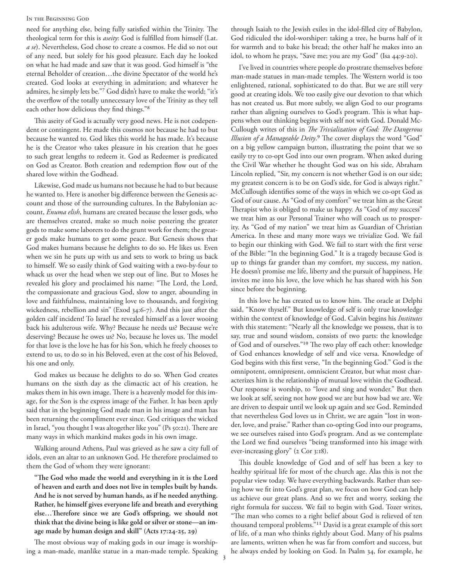## In the Beginning God

need for anything else, being fully satisfied within the Trinity. The theological term for this is *aseity*: God is fulfilled from himself (Lat. *a se*). Nevertheless, God chose to create a cosmos. He did so not out of any need, but solely for his good pleasure. Each day he looked on what he had made and saw that it was good. God himself is "the eternal Beholder of creation…the divine Spectator of the world he's created. God looks at everything in admiration; and whatever he admires, he simply lets be."7 God didn't have to make the world; "it's the overflow of the totally unnecessary love of the Trinity as they tell each other how delicious they find things."8

This aseity of God is actually very good news. He is not codependent or contingent. He made this cosmos not because he had to but because he wanted to. God likes this world he has made. It's because he is the Creator who takes pleasure in his creation that he goes to such great lengths to redeem it. God as Redeemer is predicated on God as Creator. Both creation and redemption flow out of the shared love within the Godhead.

Likewise, God made us humans not because he had to but because he wanted to. Here is another big difference between the Genesis account and those of the surrounding cultures. In the Babylonian account, *Enuma elish*, humans are created because the lesser gods, who are themselves created, make so much noise pestering the greater gods to make some laborers to do the grunt work for them; the greater gods make humans to get some peace. But Genesis shows that God makes humans because he delights to do so. He likes us. Even when we sin he puts up with us and sets to work to bring us back to himself. We so easily think of God waiting with a two-by-four to whack us over the head when we step out of line. But to Moses he revealed his glory and proclaimed his name: "The Lord, the Lord, the compassionate and gracious God, slow to anger, abounding in love and faithfulness, maintaining love to thousands, and forgiving wickedness, rebellion and sin" (Exod 34:6-7). And this just after the golden calf incident! To Israel he revealed himself as a lover wooing back his adulterous wife. Why? Because he needs us? Because we're deserving? Because he owes us? No, because he loves us. The model for that love is the love he has for his Son, which he freely chooses to extend to us, to do so in his Beloved, even at the cost of his Beloved, his one and only.

God makes us because he delights to do so. When God creates humans on the sixth day as the climactic act of his creation, he makes them in his own image. There is a heavenly model for this image, for the Son is the express image of the Father. It has been aptly said that in the beginning God made man in his image and man has been returning the compliment ever since. God critiques the wicked in Israel, "you thought I was altogether like you" (Ps 50:21). There are many ways in which mankind makes gods in his own image.

Walking around Athens, Paul was grieved as he saw a city full of idols, even an altar to an unknown God. He therefore proclaimed to them the God of whom they were ignorant:

**"The God who made the world and everything in it is the Lord of heaven and earth and does not live in temples built by hands. And he is not served by human hands, as if he needed anything. Rather, he himself gives everyone life and breath and everything else…Therefore since we are God's offspring, we should not think that the divine being is like gold or silver or stone—an image made by human design and skill" (Acts 17:24-25, 29)**

The most obvious way of making gods in our image is worshiping a man-made, manlike statue in a man-made temple. Speaking through Isaiah to the Jewish exiles in the idol-filled city of Babylon, God ridiculed the idol-worshiper: taking a tree, he burns half of it for warmth and to bake his bread; the other half he makes into an idol, to whom he prays, "Save me; you are my God" (Isa 44:9-20).

I've lived in countries where people do prostrate themselves before man-made statues in man-made temples. The Western world is too enlightened, rational, sophisticated to do that. But we are still very good at creating idols. We too easily give our devotion to that which has not created us. But more subtly, we align God to our programs rather than aligning ourselves to God's program. This is what happens when our thinking begins with self not with God. Donald Mc-Cullough writes of this in *The Trivialization of God: The Dangerous Illusion of a Manageable Deity*.9 The cover displays the word "God" on a big yellow campaign button, illustrating the point that we so easily try to co-opt God into our own program. When asked during the Civil War whether he thought God was on his side, Abraham Lincoln replied, "Sir, my concern is not whether God is on our side; my greatest concern is to be on God's side, for God is always right." McCullough identifies some of the ways in which we co-opt God as God of our cause. As "God of my comfort" we treat him as the Great Therapist who is obliged to make us happy. As "God of my success" we treat him as our Personal Trainer who will coach us to prosperity. As "God of my nation" we treat him as Guardian of Christian America. In these and many more ways we trivialize God. We fail to begin our thinking with God. We fail to start with the first verse of the Bible: "In the beginning God." It is a tragedy because God is up to things far grander than my comfort, my success, my nation. He doesn't promise me life, liberty and the pursuit of happiness. He invites me into his love, the love which he has shared with his Son since before the beginning.

In this love he has created us to know him. The oracle at Delphi said, "Know thyself." But knowledge of self is only true knowledge within the context of knowledge of God. Calvin begins his *Institutes* with this statement: "Nearly all the knowledge we possess, that is to say, true and sound wisdom, consists of two parts: the knowledge of God and of ourselves."10 The two play off each other: knowledge of God enhances knowledge of self and vice versa. Knowledge of God begins with this first verse, "In the beginning God." God is the omnipotent, omnipresent, omniscient Creator, but what most characterizes him is the relationship of mutual love within the Godhead. Our response is worship, to "love and sing and wonder." But then we look at self, seeing not how good we are but how bad we are. We are driven to despair until we look up again and see God. Reminded that nevertheless God loves us in Christ, we are again "lost in wonder, love, and praise." Rather than co-opting God into our programs, we see ourselves raised into God's program. And as we contemplate the Lord we find ourselves "being transformed into his image with ever-increasing glory" (2 Cor 3:18).

This double knowledge of God and of self has been a key to healthy spiritual life for most of the church age. Alas this is not the popular view today. We have everything backwards. Rather than seeing how we fit into God's great plan, we focus on how God can help us achieve our great plans. And so we fret and worry, seeking the right formula for success. We fail to begin with God. Tozer writes, "The man who comes to a right belief about God is relieved of ten thousand temporal problems."11 David is a great example of this sort of life, of a man who thinks rightly about God. Many of his psalms are laments, written when he was far from comfort and success, but he always ended by looking on God. In Psalm 34, for example, he